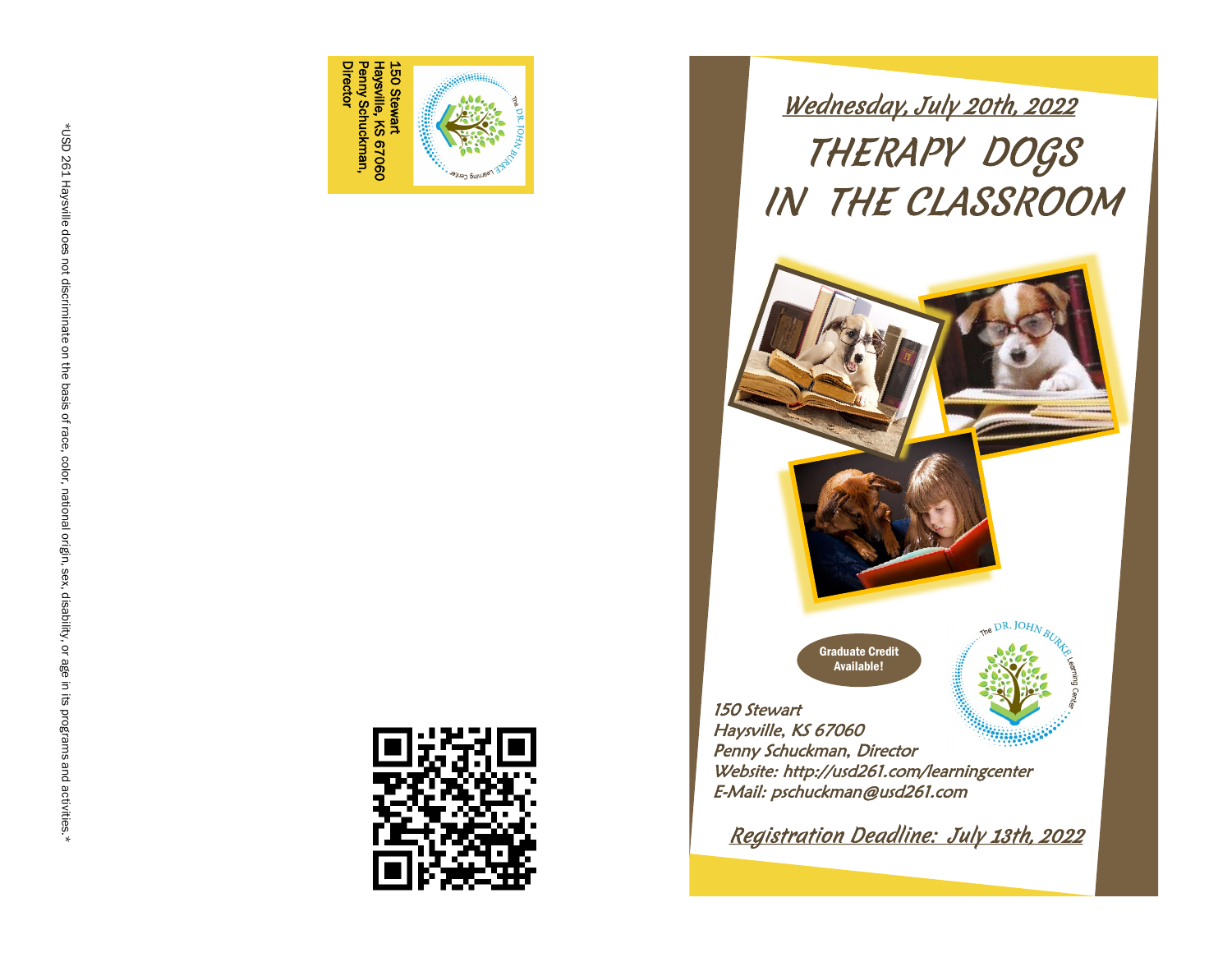

THERAPY DOGS IN THE CLASSROOM Wednesday, July 20th, 2022